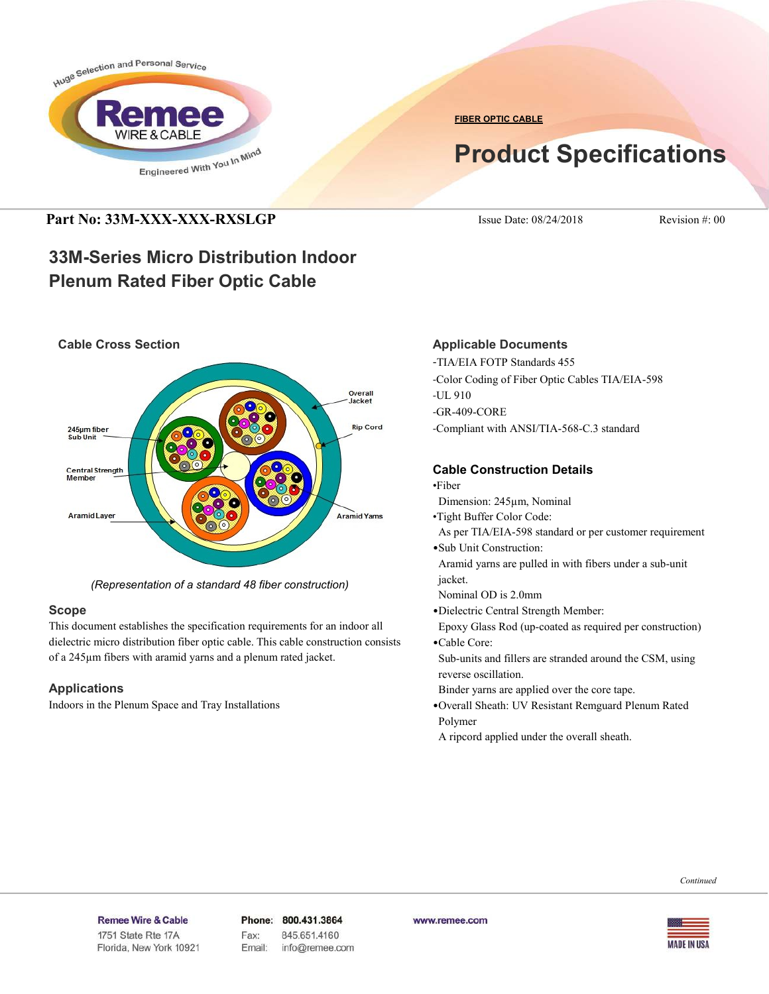

**FIBER OPTIC CABLE**

# **Product Specifications**

### **Part No: 33M-XXX-XXX-RXSLGP** Issue Date: 08/24/2018 Revision #: 00

## **33M-Series Micro Distribution Indoor Plenum Rated Fiber Optic Cable**



*(Representation of a standard 48 fiber construction)*

### **Scope**

This document establishes the specification requirements for an indoor all dielectric micro distribution fiber optic cable. This cable construction consists of a 245µm fibers with aramid yarns and a plenum rated jacket.

### **Applications**

Indoors in the Plenum Space and Tray Installations

### **Applicable Documents**

-TIA/EIA FOTP Standards 455 -Color Coding of Fiber Optic Cables TIA/EIA-598 -UL 910 -GR-409-CORE -Compliant with ANSI/TIA-568-C.3 standard

### **Cable Construction Details**

- •Fiber
- Dimension: 245µm, Nominal
- •Tight Buffer Color Code:
- As per TIA/EIA-598 standard or per customer requirement
- •Sub Unit Construction:
- Aramid yarns are pulled in with fibers under a sub-unit jacket.
- Nominal OD is 2.0mm
- •Dielectric Central Strength Member:
- Epoxy Glass Rod (up-coated as required per construction) •Cable Core:
- Sub-units and fillers are stranded around the CSM, using reverse oscillation.
- Binder yarns are applied over the core tape.
- •Overall Sheath: UV Resistant Remguard Plenum Rated Polymer
- A ripcord applied under the overall sheath.

#### Remee Wire & Cable Issue No.: 05

Florida, New York 10921

Phone: 800.431.3864 Fax: 845.651.4160 Email: info@remee.com www.remee.com

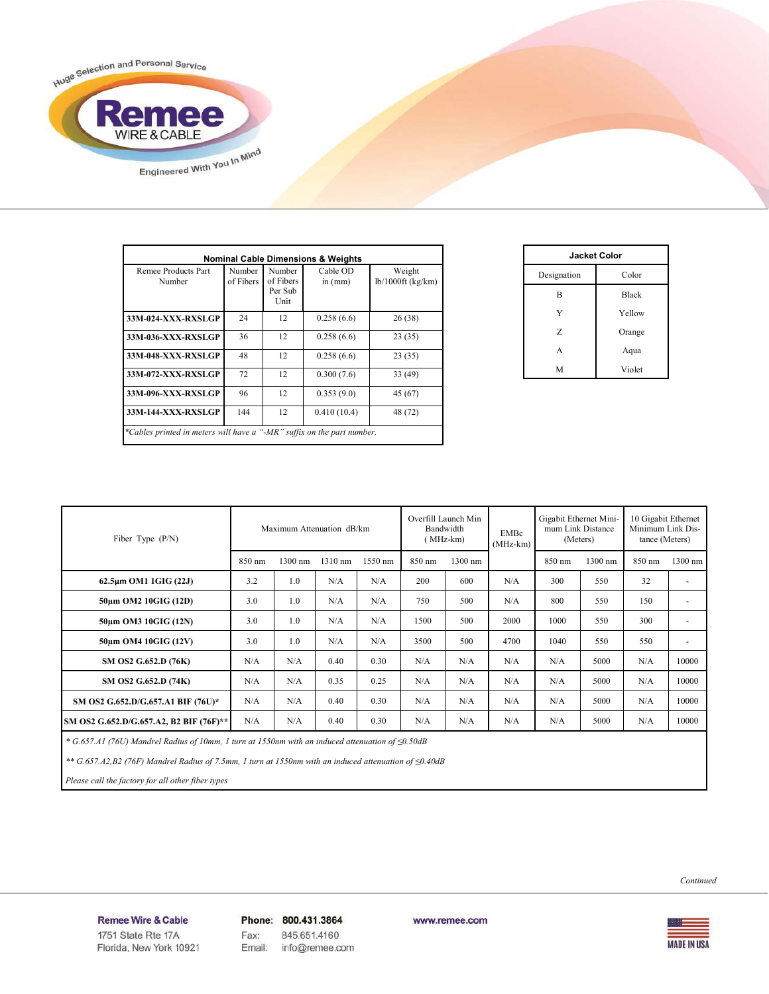

| <b>Nominal Cable Dimensions &amp; Weights</b>                          |                     |                                        |                     |                               |  |  |
|------------------------------------------------------------------------|---------------------|----------------------------------------|---------------------|-------------------------------|--|--|
| Remee Products Part<br>Number                                          | Number<br>of Fibers | Number<br>of Fibers<br>Per Sub<br>Unit | Cable OD<br>in (mm) | Weight<br>$lb/1000ft$ (kg/km) |  |  |
| 33M-024-XXX-RXSLGP                                                     | 24                  | 12                                     | 0.258(6.6)          | 26(38)                        |  |  |
| 33M-036-XXX-RXSLGP                                                     | 36                  | 12                                     | 0.258(6.6)          | 23(35)                        |  |  |
| 33M-048-XXX-RXSLGP                                                     | 48                  | 12                                     | 0.258(6.6)          | 23(35)                        |  |  |
| 33M-072-XXX-RXSLGP                                                     | 72                  | 12                                     | 0.300(7.6)          | 33 (49)                       |  |  |
| 33M-096-XXX-RXSLGP                                                     | 96                  | 12                                     | 0.353(9.0)          | 45 (67)                       |  |  |
| 33M-144-XXX-RXSLGP                                                     | 144                 | 12                                     | 0.410(10.4)         | 48 (72)                       |  |  |
| *Cables printed in meters will have a "-MR" suffix on the part number. |                     |                                        |                     |                               |  |  |

| Jacket Color |              |  |  |  |
|--------------|--------------|--|--|--|
| Designation  | Color        |  |  |  |
| B            | <b>Black</b> |  |  |  |
| Y            | Yellow       |  |  |  |
| Z            | Orange       |  |  |  |
| A            | Aqua         |  |  |  |
| M            | Violet       |  |  |  |

| Maximum Attenuation dB/km<br>Fiber Type (P/N) |        | Overfill Launch Min<br>Bandwidth<br>MHz-km) |         | EMBc<br>$(MHz-km)$ | Gigabit Ethernet Mini-<br>mum Link Distance<br>(Meters) |         | 10 Gigabit Ethernet<br>Minimum Link Dis-<br>tance (Meters) |        |         |        |           |
|-----------------------------------------------|--------|---------------------------------------------|---------|--------------------|---------------------------------------------------------|---------|------------------------------------------------------------|--------|---------|--------|-----------|
|                                               | 850 nm | 1300 nm                                     | 1310 nm | 1550 nm            | 850 nm                                                  | 1300 nm |                                                            | 850 nm | 1300 nm | 850 nm | $1300$ nm |
| $62.5\mu m$ OM1 1GIG (22J)                    | 3.2    | 1 <sub>0</sub>                              | N/A     | N/A                | 200                                                     | 600     | N/A                                                        | 300    | 550     | 32     | ٠         |
| 50um OM2 10GIG (12D)                          | 3.0    | 1.0                                         | N/A     | N/A                | 750                                                     | 500     | N/A                                                        | 800    | 550     | 150    | ٠         |
| 50um OM3 10GIG (12N)                          | 3.0    | 1.0                                         | N/A     | N/A                | 1500                                                    | 500     | 2000                                                       | 1000   | 550     | 300    | ٠         |
| 50um OM4 10GIG (12V)                          | 3.0    | 1.0                                         | N/A     | N/A                | 3500                                                    | 500     | 4700                                                       | 1040   | 550     | 550    | ٠         |
| SM OS2 G.652.D (76K)                          | N/A    | N/A                                         | 0.40    | 0.30               | N/A                                                     | N/A     | N/A                                                        | N/A    | 5000    | N/A    | 10000     |
| SM OS2 G.652.D (74K)                          | N/A    | N/A                                         | 0.35    | 0.25               | N/A                                                     | N/A     | N/A                                                        | N/A    | 5000    | N/A    | 10000     |
| SM OS2 G.652.D/G.657.A1 BIF (76U)*            | N/A    | N/A                                         | 0.40    | 0.30               | N/A                                                     | N/A     | N/A                                                        | N/A    | 5000    | N/A    | 10000     |
| SM OS2 G.652.D/G.657.A2, B2 BIF (76F)**       | N/A    | N/A                                         | 0.40    | 0.30               | N/A                                                     | N/A     | N/A                                                        | N/A    | 5000    | N/A    | 10000     |

 *\* G.657.A1 (76U) Mandrel Radius of 10mm, 1 turn at 1550nm with an induced attenuation of ≤0.50dB*

 *\*\* G.657.A2,B2 (76F) Mandrel Radius of 7.5mm, 1 turn at 1550nm with an induced attenuation of ≤0.40dB*

 *Please call the factory for all other fiber types*

*Continued*

Remee Wire & Cable Issue No.: 05

Florida, New York 10921

Phone: 800.431.3864 Fax: 845.651.4160 Email: info@remee.com

www.remee.com